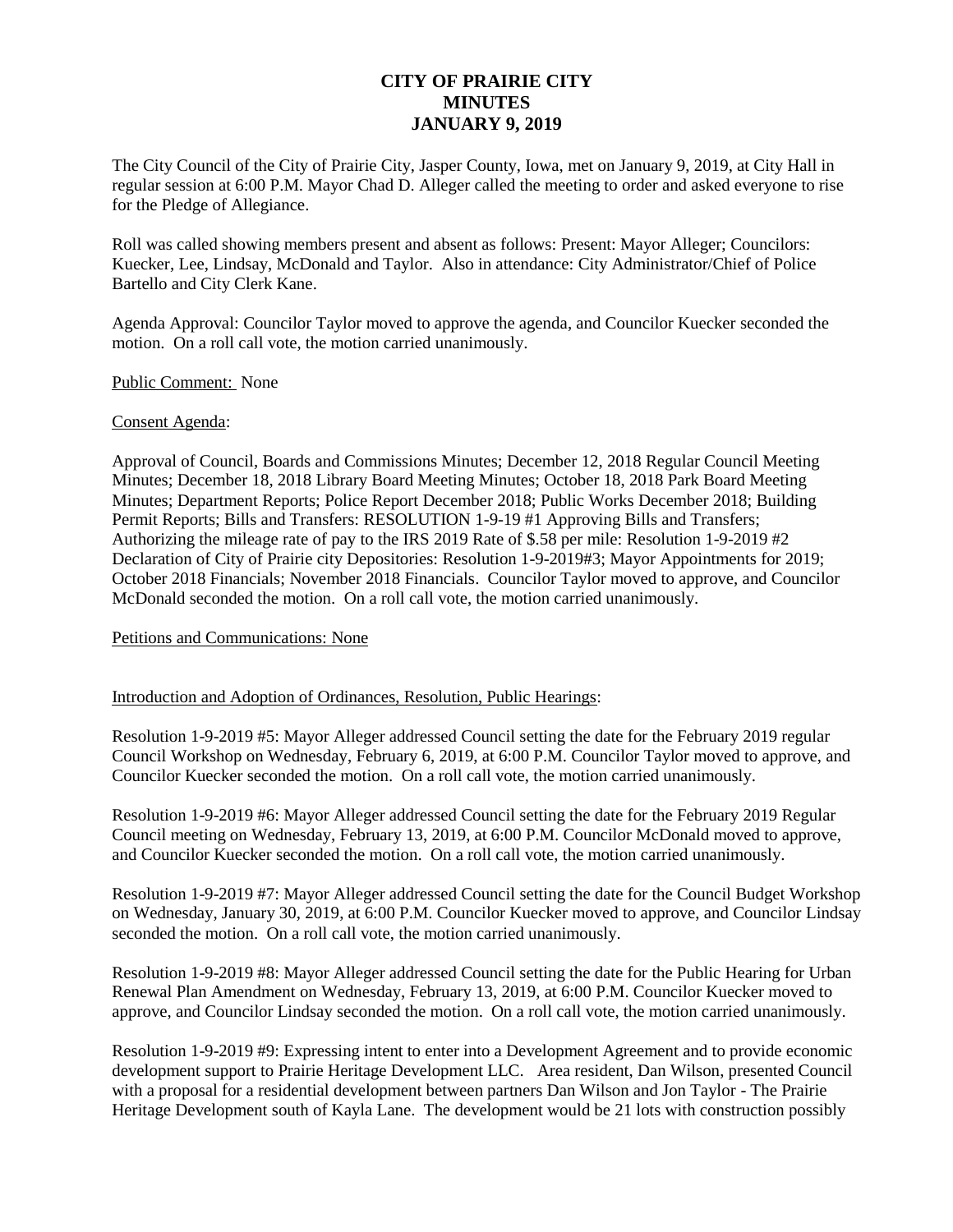# **CITY OF PRAIRIE CITY MINUTES JANUARY 9, 2019**

The City Council of the City of Prairie City, Jasper County, Iowa, met on January 9, 2019, at City Hall in regular session at 6:00 P.M. Mayor Chad D. Alleger called the meeting to order and asked everyone to rise for the Pledge of Allegiance.

Roll was called showing members present and absent as follows: Present: Mayor Alleger; Councilors: Kuecker, Lee, Lindsay, McDonald and Taylor. Also in attendance: City Administrator/Chief of Police Bartello and City Clerk Kane.

Agenda Approval: Councilor Taylor moved to approve the agenda, and Councilor Kuecker seconded the motion. On a roll call vote, the motion carried unanimously.

#### Public Comment: None

#### Consent Agenda:

Approval of Council, Boards and Commissions Minutes; December 12, 2018 Regular Council Meeting Minutes; December 18, 2018 Library Board Meeting Minutes; October 18, 2018 Park Board Meeting Minutes; Department Reports; Police Report December 2018; Public Works December 2018; Building Permit Reports; Bills and Transfers: RESOLUTION 1-9-19 #1 Approving Bills and Transfers; Authorizing the mileage rate of pay to the IRS 2019 Rate of \$.58 per mile: Resolution 1-9-2019 #2 Declaration of City of Prairie city Depositories: Resolution 1-9-2019#3; Mayor Appointments for 2019; October 2018 Financials; November 2018 Financials. Councilor Taylor moved to approve, and Councilor McDonald seconded the motion. On a roll call vote, the motion carried unanimously.

## Petitions and Communications: None

## Introduction and Adoption of Ordinances, Resolution, Public Hearings:

Resolution 1-9-2019 #5: Mayor Alleger addressed Council setting the date for the February 2019 regular Council Workshop on Wednesday, February 6, 2019, at 6:00 P.M. Councilor Taylor moved to approve, and Councilor Kuecker seconded the motion. On a roll call vote, the motion carried unanimously.

Resolution 1-9-2019 #6: Mayor Alleger addressed Council setting the date for the February 2019 Regular Council meeting on Wednesday, February 13, 2019, at 6:00 P.M. Councilor McDonald moved to approve, and Councilor Kuecker seconded the motion. On a roll call vote, the motion carried unanimously.

Resolution 1-9-2019 #7: Mayor Alleger addressed Council setting the date for the Council Budget Workshop on Wednesday, January 30, 2019, at 6:00 P.M. Councilor Kuecker moved to approve, and Councilor Lindsay seconded the motion. On a roll call vote, the motion carried unanimously.

Resolution 1-9-2019 #8: Mayor Alleger addressed Council setting the date for the Public Hearing for Urban Renewal Plan Amendment on Wednesday, February 13, 2019, at 6:00 P.M. Councilor Kuecker moved to approve, and Councilor Lindsay seconded the motion. On a roll call vote, the motion carried unanimously.

Resolution 1-9-2019 #9: Expressing intent to enter into a Development Agreement and to provide economic development support to Prairie Heritage Development LLC. Area resident, Dan Wilson, presented Council with a proposal for a residential development between partners Dan Wilson and Jon Taylor - The Prairie Heritage Development south of Kayla Lane. The development would be 21 lots with construction possibly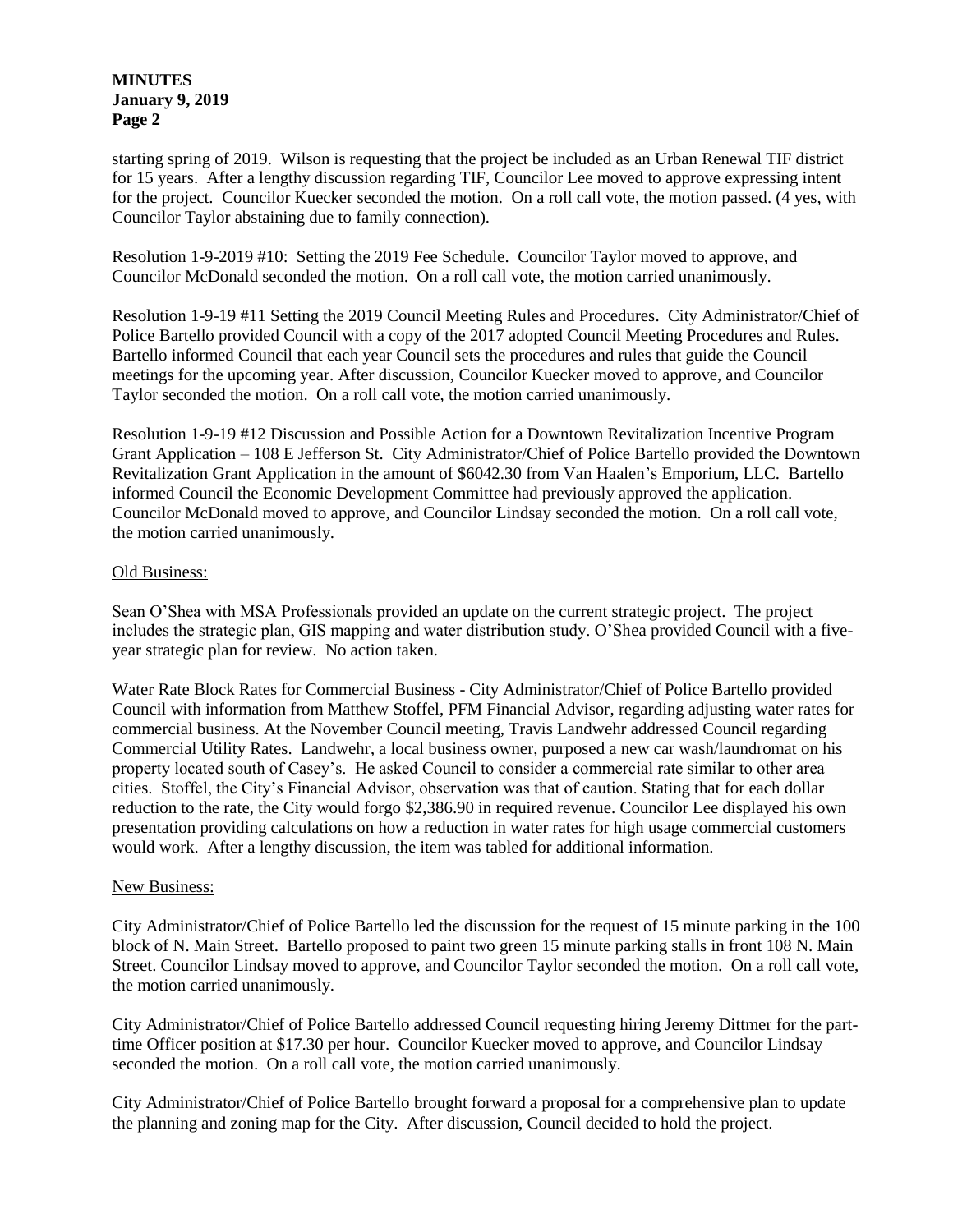## **MINUTES January 9, 2019 Page 2**

starting spring of 2019. Wilson is requesting that the project be included as an Urban Renewal TIF district for 15 years. After a lengthy discussion regarding TIF, Councilor Lee moved to approve expressing intent for the project. Councilor Kuecker seconded the motion. On a roll call vote, the motion passed. (4 yes, with Councilor Taylor abstaining due to family connection).

Resolution 1-9-2019 #10: Setting the 2019 Fee Schedule. Councilor Taylor moved to approve, and Councilor McDonald seconded the motion. On a roll call vote, the motion carried unanimously.

Resolution 1-9-19 #11 Setting the 2019 Council Meeting Rules and Procedures. City Administrator/Chief of Police Bartello provided Council with a copy of the 2017 adopted Council Meeting Procedures and Rules. Bartello informed Council that each year Council sets the procedures and rules that guide the Council meetings for the upcoming year. After discussion, Councilor Kuecker moved to approve, and Councilor Taylor seconded the motion. On a roll call vote, the motion carried unanimously.

Resolution 1-9-19 #12 Discussion and Possible Action for a Downtown Revitalization Incentive Program Grant Application – 108 E Jefferson St. City Administrator/Chief of Police Bartello provided the Downtown Revitalization Grant Application in the amount of \$6042.30 from Van Haalen's Emporium, LLC. Bartello informed Council the Economic Development Committee had previously approved the application. Councilor McDonald moved to approve, and Councilor Lindsay seconded the motion. On a roll call vote, the motion carried unanimously.

#### Old Business:

Sean O'Shea with MSA Professionals provided an update on the current strategic project. The project includes the strategic plan, GIS mapping and water distribution study. O'Shea provided Council with a fiveyear strategic plan for review. No action taken.

Water Rate Block Rates for Commercial Business - City Administrator/Chief of Police Bartello provided Council with information from Matthew Stoffel, PFM Financial Advisor, regarding adjusting water rates for commercial business. At the November Council meeting, Travis Landwehr addressed Council regarding Commercial Utility Rates. Landwehr, a local business owner, purposed a new car wash/laundromat on his property located south of Casey's. He asked Council to consider a commercial rate similar to other area cities. Stoffel, the City's Financial Advisor, observation was that of caution. Stating that for each dollar reduction to the rate, the City would forgo \$2,386.90 in required revenue. Councilor Lee displayed his own presentation providing calculations on how a reduction in water rates for high usage commercial customers would work. After a lengthy discussion, the item was tabled for additional information.

## New Business:

City Administrator/Chief of Police Bartello led the discussion for the request of 15 minute parking in the 100 block of N. Main Street. Bartello proposed to paint two green 15 minute parking stalls in front 108 N. Main Street. Councilor Lindsay moved to approve, and Councilor Taylor seconded the motion. On a roll call vote, the motion carried unanimously.

City Administrator/Chief of Police Bartello addressed Council requesting hiring Jeremy Dittmer for the parttime Officer position at \$17.30 per hour. Councilor Kuecker moved to approve, and Councilor Lindsay seconded the motion. On a roll call vote, the motion carried unanimously.

City Administrator/Chief of Police Bartello brought forward a proposal for a comprehensive plan to update the planning and zoning map for the City. After discussion, Council decided to hold the project.